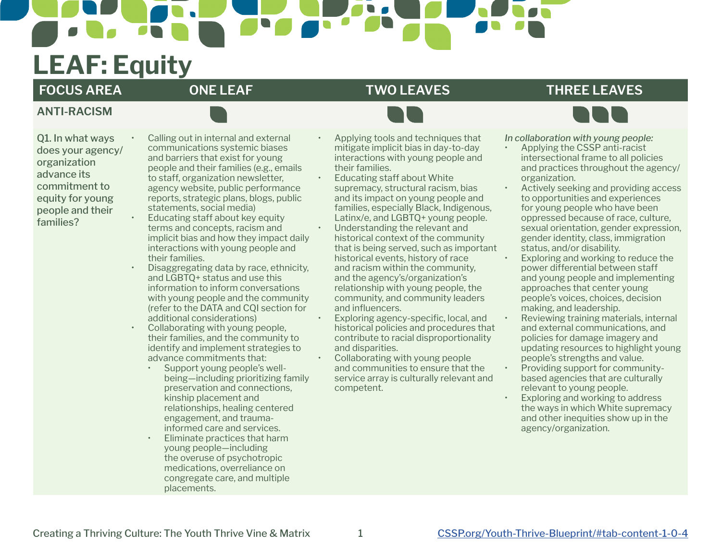# **LEAF: Equity**

**ANTI-RACISM**

### **FOCUS AREA ONE LEAF TWO LEAVES THREE LEAVES**



Q1. In what ways does your agency/ organization advance its commitment to equity for young people and their families?

- Calling out in internal and external communications systemic biases and barriers that exist for young people and their families (e.g., emails to staff, organization newsletter, agency website, public performance reports, strategic plans, blogs, public statements, social media)
- Educating staff about key equity terms and concepts, racism and implicit bias and how they impact daily interactions with young people and their families.
- Disaggregating data by race, ethnicity, and LGBTQ+ status and use this information to inform conversations with young people and the community (refer to the DATA and CQI section for additional considerations)
- Collaborating with young people, their families, and the community to identify and implement strategies to advance commitments that:
	- Support young people's wellbeing—including prioritizing family preservation and connections, kinship placement and relationships, healing centered engagement, and traumainformed care and services.
	- Eliminate practices that harm young people—including the overuse of psychotropic medications, overreliance on congregate care, and multiple placements.
- Applying tools and techniques that mitigate implicit bias in day-to-day interactions with young people and their families.
- Educating staff about White supremacy, structural racism, bias and its impact on young people and families, especially Black, Indigenous, Latinx/e, and LGBTQ+ young people. Understanding the relevant and historical context of the community that is being served, such as important historical events, history of race and racism within the community, and the agency's/organization's relationship with young people, the community, and community leaders and influencers.
- Exploring agency-specific, local, and historical policies and procedures that contribute to racial disproportionality and disparities.
- Collaborating with young people and communities to ensure that the service array is culturally relevant and competent.

*In collaboration with young people:* 

- Applying the CSSP anti-racist intersectional frame to all policies and practices throughout the agency/ organization.
- Actively seeking and providing access to opportunities and experiences for young people who have been oppressed because of race, culture, sexual orientation, gender expression, gender identity, class, immigration status, and/or disability.
- Exploring and working to reduce the power differential between staff and young people and implementing approaches that center young people's voices, choices, decision making, and leadership.
- Reviewing training materials, internal and external communications, and policies for damage imagery and updating resources to highlight young people's strengths and value.
- Providing support for communitybased agencies that are culturally relevant to young people.
- Exploring and working to address the ways in which White supremacy and other inequities show up in the agency/organization.